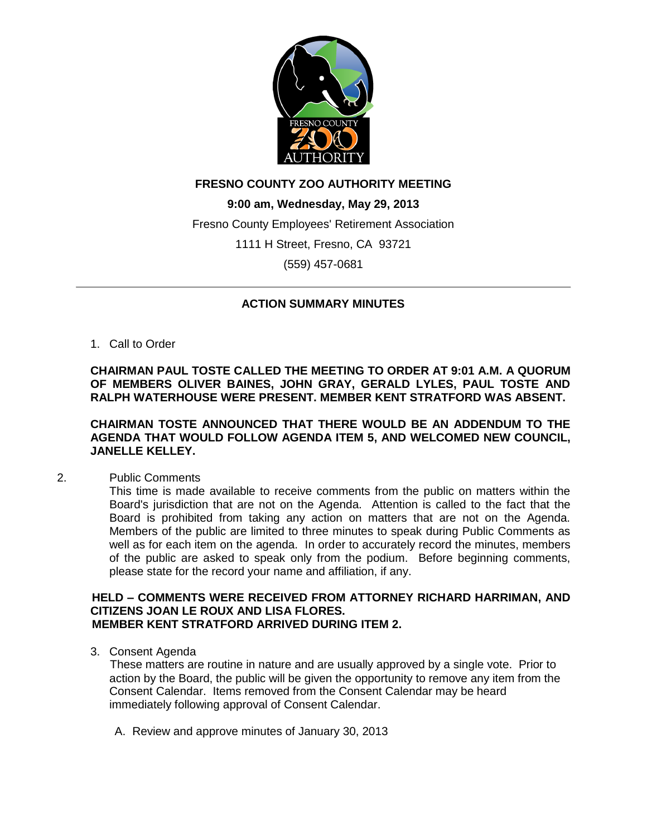

# **FRESNO COUNTY ZOO AUTHORITY MEETING**

**9:00 am, Wednesday, May 29, 2013** Fresno County Employees' Retirement Association 1111 H Street, Fresno, CA 93721 (559) 457-0681

# **ACTION SUMMARY MINUTES**

1. Call to Order

**CHAIRMAN PAUL TOSTE CALLED THE MEETING TO ORDER AT 9:01 A.M. A QUORUM OF MEMBERS OLIVER BAINES, JOHN GRAY, GERALD LYLES, PAUL TOSTE AND RALPH WATERHOUSE WERE PRESENT. MEMBER KENT STRATFORD WAS ABSENT.**

# **CHAIRMAN TOSTE ANNOUNCED THAT THERE WOULD BE AN ADDENDUM TO THE AGENDA THAT WOULD FOLLOW AGENDA ITEM 5, AND WELCOMED NEW COUNCIL, JANELLE KELLEY.**

2. Public Comments

This time is made available to receive comments from the public on matters within the Board's jurisdiction that are not on the Agenda. Attention is called to the fact that the Board is prohibited from taking any action on matters that are not on the Agenda. Members of the public are limited to three minutes to speak during Public Comments as well as for each item on the agenda. In order to accurately record the minutes, members of the public are asked to speak only from the podium. Before beginning comments, please state for the record your name and affiliation, if any.

# **HELD – COMMENTS WERE RECEIVED FROM ATTORNEY RICHARD HARRIMAN, AND CITIZENS JOAN LE ROUX AND LISA FLORES. MEMBER KENT STRATFORD ARRIVED DURING ITEM 2.**

3. Consent Agenda

These matters are routine in nature and are usually approved by a single vote. Prior to action by the Board, the public will be given the opportunity to remove any item from the Consent Calendar. Items removed from the Consent Calendar may be heard immediately following approval of Consent Calendar.

A. Review and approve minutes of January 30, 2013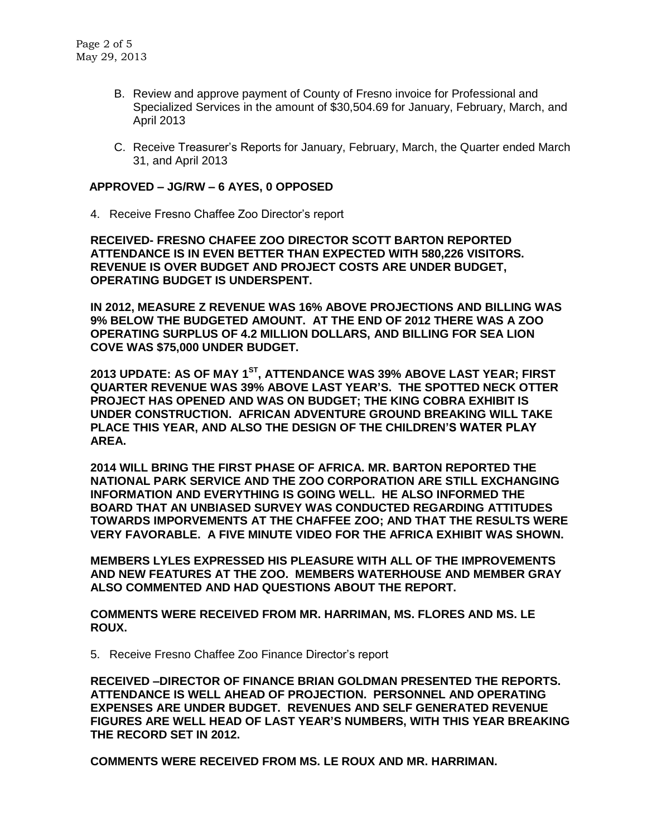- B. Review and approve payment of County of Fresno invoice for Professional and Specialized Services in the amount of \$30,504.69 for January, February, March, and April 2013
- C. Receive Treasurer's Reports for January, February, March, the Quarter ended March 31, and April 2013

## **APPROVED – JG/RW – 6 AYES, 0 OPPOSED**

4. Receive Fresno Chaffee Zoo Director's report

**RECEIVED- FRESNO CHAFEE ZOO DIRECTOR SCOTT BARTON REPORTED ATTENDANCE IS IN EVEN BETTER THAN EXPECTED WITH 580,226 VISITORS. REVENUE IS OVER BUDGET AND PROJECT COSTS ARE UNDER BUDGET, OPERATING BUDGET IS UNDERSPENT.** 

**IN 2012, MEASURE Z REVENUE WAS 16% ABOVE PROJECTIONS AND BILLING WAS 9% BELOW THE BUDGETED AMOUNT. AT THE END OF 2012 THERE WAS A ZOO OPERATING SURPLUS OF 4.2 MILLION DOLLARS, AND BILLING FOR SEA LION COVE WAS \$75,000 UNDER BUDGET.** 

**2013 UPDATE: AS OF MAY 1ST , ATTENDANCE WAS 39% ABOVE LAST YEAR; FIRST QUARTER REVENUE WAS 39% ABOVE LAST YEAR'S. THE SPOTTED NECK OTTER PROJECT HAS OPENED AND WAS ON BUDGET; THE KING COBRA EXHIBIT IS UNDER CONSTRUCTION. AFRICAN ADVENTURE GROUND BREAKING WILL TAKE PLACE THIS YEAR, AND ALSO THE DESIGN OF THE CHILDREN'S WATER PLAY AREA.** 

**2014 WILL BRING THE FIRST PHASE OF AFRICA. MR. BARTON REPORTED THE NATIONAL PARK SERVICE AND THE ZOO CORPORATION ARE STILL EXCHANGING INFORMATION AND EVERYTHING IS GOING WELL. HE ALSO INFORMED THE BOARD THAT AN UNBIASED SURVEY WAS CONDUCTED REGARDING ATTITUDES TOWARDS IMPORVEMENTS AT THE CHAFFEE ZOO; AND THAT THE RESULTS WERE VERY FAVORABLE. A FIVE MINUTE VIDEO FOR THE AFRICA EXHIBIT WAS SHOWN.**

**MEMBERS LYLES EXPRESSED HIS PLEASURE WITH ALL OF THE IMPROVEMENTS AND NEW FEATURES AT THE ZOO. MEMBERS WATERHOUSE AND MEMBER GRAY ALSO COMMENTED AND HAD QUESTIONS ABOUT THE REPORT.**

**COMMENTS WERE RECEIVED FROM MR. HARRIMAN, MS. FLORES AND MS. LE ROUX.**

5. Receive Fresno Chaffee Zoo Finance Director's report

**RECEIVED –DIRECTOR OF FINANCE BRIAN GOLDMAN PRESENTED THE REPORTS. ATTENDANCE IS WELL AHEAD OF PROJECTION. PERSONNEL AND OPERATING EXPENSES ARE UNDER BUDGET. REVENUES AND SELF GENERATED REVENUE FIGURES ARE WELL HEAD OF LAST YEAR'S NUMBERS, WITH THIS YEAR BREAKING THE RECORD SET IN 2012.**

**COMMENTS WERE RECEIVED FROM MS. LE ROUX AND MR. HARRIMAN.**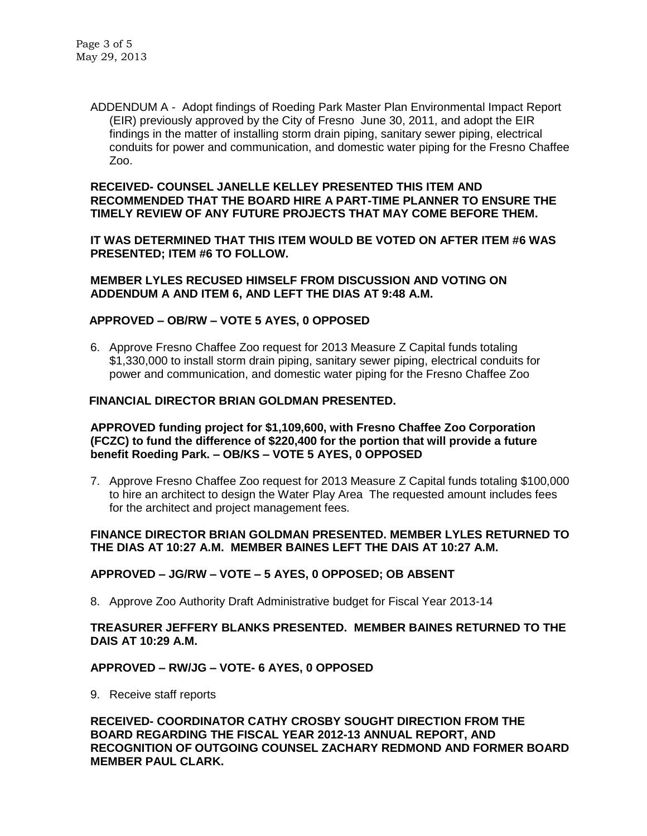ADDENDUM A - Adopt findings of Roeding Park Master Plan Environmental Impact Report (EIR) previously approved by the City of Fresno June 30, 2011, and adopt the EIR findings in the matter of installing storm drain piping, sanitary sewer piping, electrical conduits for power and communication, and domestic water piping for the Fresno Chaffee Zoo.

### **RECEIVED- COUNSEL JANELLE KELLEY PRESENTED THIS ITEM AND RECOMMENDED THAT THE BOARD HIRE A PART-TIME PLANNER TO ENSURE THE TIMELY REVIEW OF ANY FUTURE PROJECTS THAT MAY COME BEFORE THEM.**

**IT WAS DETERMINED THAT THIS ITEM WOULD BE VOTED ON AFTER ITEM #6 WAS PRESENTED; ITEM #6 TO FOLLOW.**

**MEMBER LYLES RECUSED HIMSELF FROM DISCUSSION AND VOTING ON ADDENDUM A AND ITEM 6, AND LEFT THE DIAS AT 9:48 A.M.**

# **APPROVED – OB/RW – VOTE 5 AYES, 0 OPPOSED**

6. Approve Fresno Chaffee Zoo request for 2013 Measure Z Capital funds totaling \$1,330,000 to install storm drain piping, sanitary sewer piping, electrical conduits for power and communication, and domestic water piping for the Fresno Chaffee Zoo

# **FINANCIAL DIRECTOR BRIAN GOLDMAN PRESENTED.**

## **APPROVED funding project for \$1,109,600, with Fresno Chaffee Zoo Corporation (FCZC) to fund the difference of \$220,400 for the portion that will provide a future benefit Roeding Park. – OB/KS – VOTE 5 AYES, 0 OPPOSED**

7. Approve Fresno Chaffee Zoo request for 2013 Measure Z Capital funds totaling \$100,000 to hire an architect to design the Water Play Area The requested amount includes fees for the architect and project management fees.

# **FINANCE DIRECTOR BRIAN GOLDMAN PRESENTED. MEMBER LYLES RETURNED TO THE DIAS AT 10:27 A.M. MEMBER BAINES LEFT THE DAIS AT 10:27 A.M.**

### **APPROVED – JG/RW – VOTE – 5 AYES, 0 OPPOSED; OB ABSENT**

8. Approve Zoo Authority Draft Administrative budget for Fiscal Year 2013-14

# **TREASURER JEFFERY BLANKS PRESENTED. MEMBER BAINES RETURNED TO THE DAIS AT 10:29 A.M.**

### **APPROVED – RW/JG – VOTE- 6 AYES, 0 OPPOSED**

9. Receive staff reports

**RECEIVED- COORDINATOR CATHY CROSBY SOUGHT DIRECTION FROM THE BOARD REGARDING THE FISCAL YEAR 2012-13 ANNUAL REPORT, AND RECOGNITION OF OUTGOING COUNSEL ZACHARY REDMOND AND FORMER BOARD MEMBER PAUL CLARK.**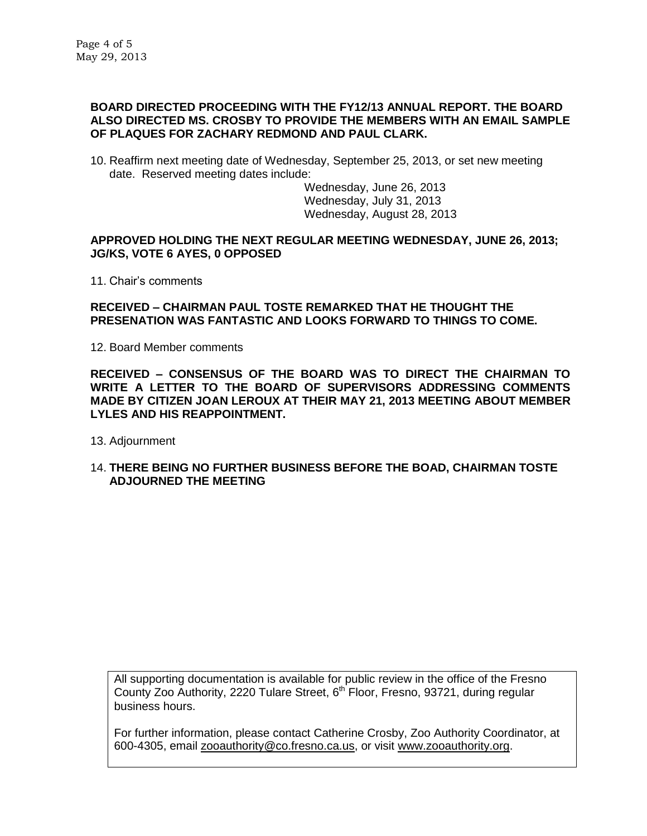### **BOARD DIRECTED PROCEEDING WITH THE FY12/13 ANNUAL REPORT. THE BOARD ALSO DIRECTED MS. CROSBY TO PROVIDE THE MEMBERS WITH AN EMAIL SAMPLE OF PLAQUES FOR ZACHARY REDMOND AND PAUL CLARK.**

10. Reaffirm next meeting date of Wednesday, September 25, 2013, or set new meeting date. Reserved meeting dates include:

> Wednesday, June 26, 2013 Wednesday, July 31, 2013 Wednesday, August 28, 2013

## **APPROVED HOLDING THE NEXT REGULAR MEETING WEDNESDAY, JUNE 26, 2013; JG/KS, VOTE 6 AYES, 0 OPPOSED**

11. Chair's comments

# **RECEIVED – CHAIRMAN PAUL TOSTE REMARKED THAT HE THOUGHT THE PRESENATION WAS FANTASTIC AND LOOKS FORWARD TO THINGS TO COME.**

12. Board Member comments

**RECEIVED – CONSENSUS OF THE BOARD WAS TO DIRECT THE CHAIRMAN TO WRITE A LETTER TO THE BOARD OF SUPERVISORS ADDRESSING COMMENTS MADE BY CITIZEN JOAN LEROUX AT THEIR MAY 21, 2013 MEETING ABOUT MEMBER LYLES AND HIS REAPPOINTMENT.**

- 13. Adjournment
- 14. **THERE BEING NO FURTHER BUSINESS BEFORE THE BOAD, CHAIRMAN TOSTE ADJOURNED THE MEETING**

All supporting documentation is available for public review in the office of the Fresno County Zoo Authority, 2220 Tulare Street, 6<sup>th</sup> Floor, Fresno, 93721, during regular business hours.

For further information, please contact Catherine Crosby, Zoo Authority Coordinator, at 600-4305, email [zooauthority@co.fresno.ca.us,](mailto:zooauthority@co.fresno.ca.us) or visit [www.zooauthority.org.](http://www.zooauthority.org/)